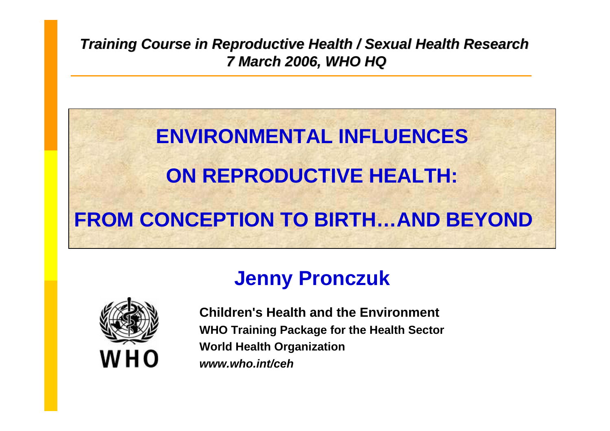*Training Course in Reproductive Health / Sexual Health Research 7 March 2006, WHO HQ 7 March 2006, WHO HQ*

# **ENVIRONMENTAL INFLUENCESON REPRODUCTIVE HEALTH: FROM CONCEPTION TO BIRTH…AND BEYOND**

## **Jenny Pronczuk**



**Children's Health and the EnvironmentWHO Training Package for the Healt h Sector World Health Organization** *www.who.int/ceh*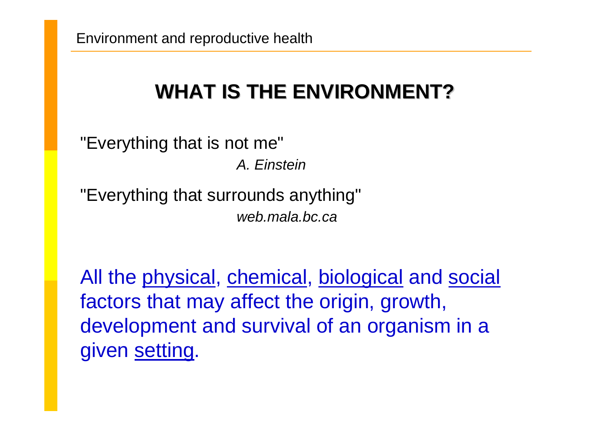## **WHAT IS THE ENVIRONMENT? WHAT IS THE ENVIRONMENT?**

"Everything that is not me" *A. Einstein*

"Everything that surrounds anything" *web.mala.bc.ca*

All the physical, chemical, biological and social factors that may affect the origin, growth, development and survival of an organism in a given setting.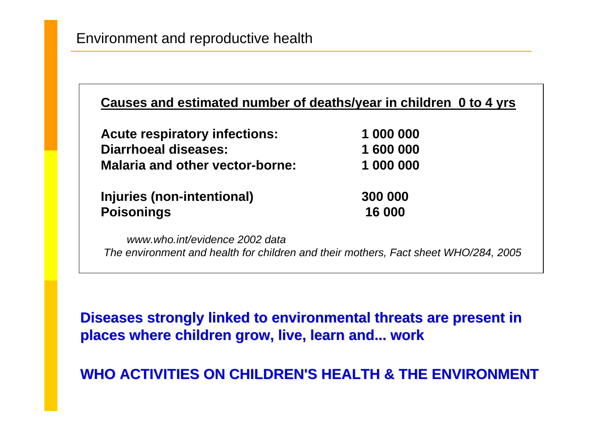| <b>Acute respiratory infections:</b>   | 1 000 000 |  |
|----------------------------------------|-----------|--|
| <b>Diarrhoeal diseases:</b>            | 1 600 000 |  |
| <b>Malaria and other vector-borne:</b> | 1 000 000 |  |
| Injuries (non-intentional)             | 300 000   |  |
| <b>Poisonings</b>                      | 16 000    |  |

**Diseases strongly linked to environmental threats are present in places where children gr places where children grow, live, learn and... ow, live, learn and... work**

**WHO ACTIVITIES ON CHILDREN'S WHO ACTIVITIES ON CHILDREN'S HEALTH & THE ENVIRONMENT HEALTH & THE ENVIRONMENT**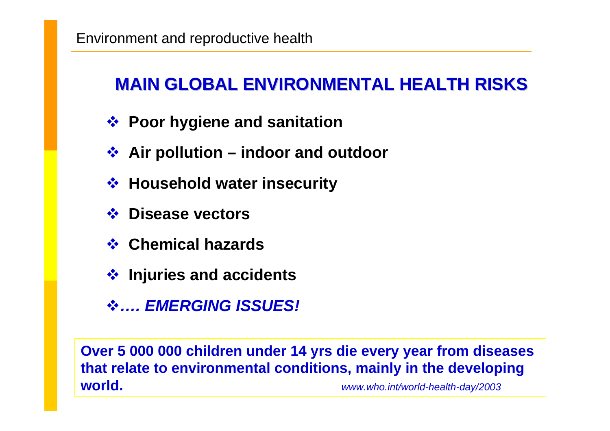## **MAIN GLOBAL ENVIRONMENTAL HEALTH RISKS MAIN GLOBAL ENVIRONMENTAL HEALTH RISKS**

- **Poor hygiene and sanitation**
- **Air pollution – indoor and outdoor**
- **Household water insecurity**
- **Disease vectors**
- **Chemical hazards**
- **Injuries and accidents**
- *…. EMERGING ISSUES!*

**Over 5 000 000 children under 14 yrs die every year from diseases that relate to environmental conditions, mainly in the developing world.***www.who.int/world-health-day/2003*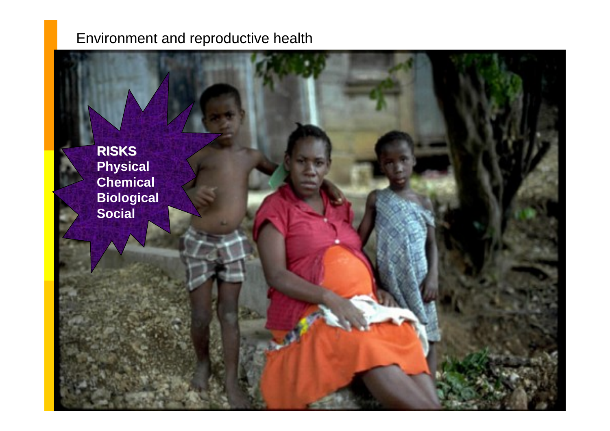**RISKS Physical Chemical Biological Social**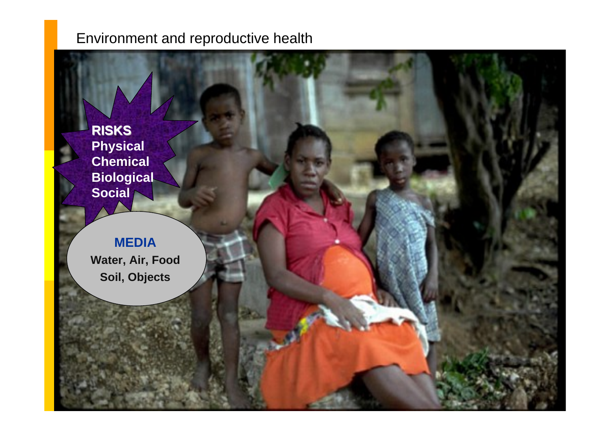**RISKS Physical Chemical Biological Social**

#### **MEDIA**

**Water, Air, Food Soil, Obje c t s**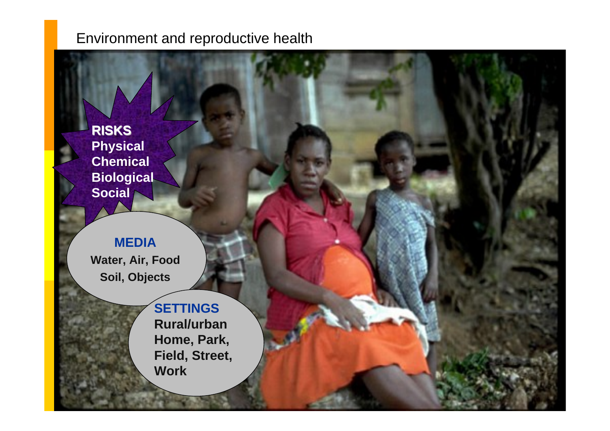**RISKS Physical Chemical Biological Social**

#### **MEDIA**

**Water, Air, Food Soil, Obje c t s**

> **SETTINGS Rural/urban Home, Park, Field, Street, Work**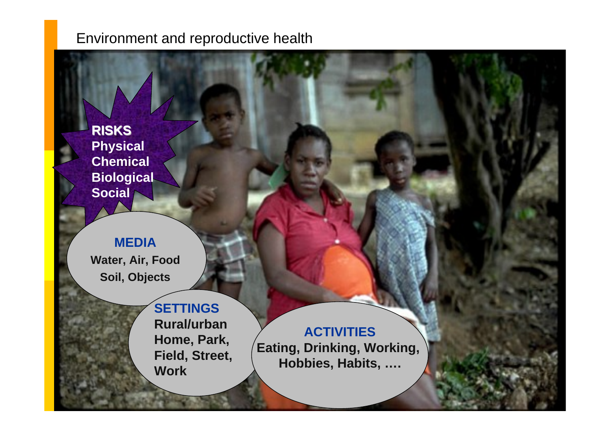**RISKS Physical Chemical Biological Social**

#### **MEDIA**

**Water, Air, Food Soil, Obje c t s**

> **SETTINGS Rural/urban Home, Park, Field, Street, Work**

**ACTIVITIES Eating, Drinking, Working, Hobbies, Habits, ….**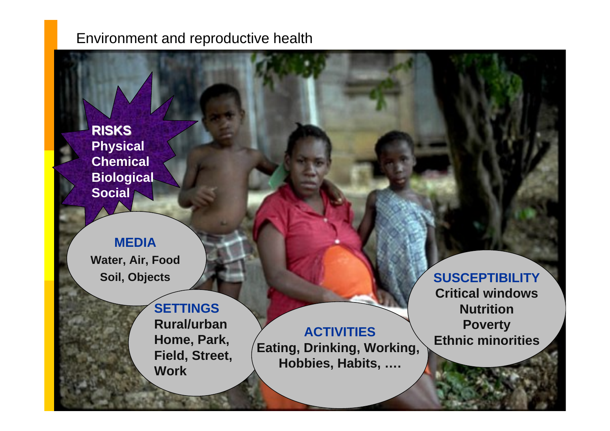**RISKS Physical Chemical Biological Social**

#### **MEDIA**

**Water, Air, Food Soil, Obje c t s**

> **SETTINGS Rural/urbanHome, Park, Field, Street, Work**

**ACTIVITIES Eating, Drinking, Working, Hobbies, Habits, ….**

**SUSCEPTIBILITY Critical windows NutritionPoverty Ethnic minorities**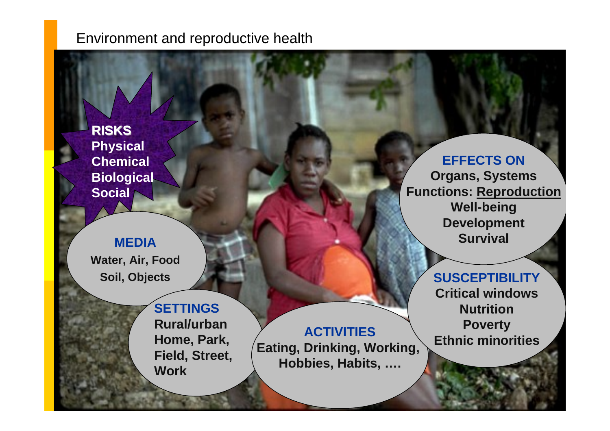**RISKS Physical Chemical Biological Social**

#### **MEDIA**

**Water, Air, Food Soil, Obje c t s**

> **SETTINGSRural/urbanHome, Park, Field, Street, Work**

**ACTIVITIES Eating, Drinking, Working, Hobbies, Habits, ….**

**EFFECTS ON Organs, Systems Functions: Reproduction Well-being Development Survival**

#### **SUSCEPTIBILITY**

**Critical windowsNutritionPoverty Ethnic minorities**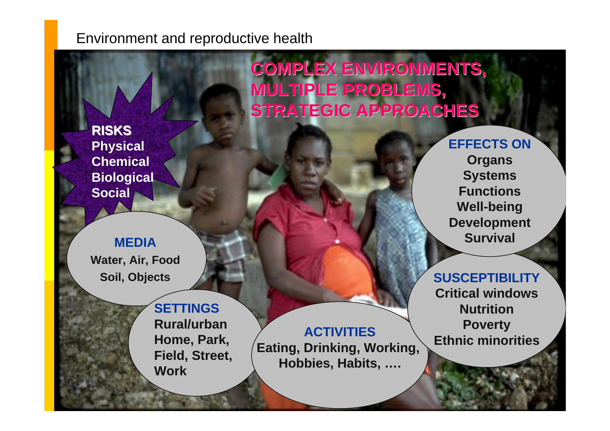**COMPLEX ENVIRONMENTS, COMPLEX ENVIRONMENTS, MULTIPLE PROBLEMS, MULTIPLE PROBLEMS, STRATEGIC APPROACHES STRATEGIC APPROACHES**

**RISKS Physical Chemical Biological Social**

#### **MEDIA**

**Water, Air, Food Soil, Obje c t s**

> **SETTINGSRural/urbanHome, Park, Field, Street, Work**

**ACTIVITIES Eating, Drinking, Working, Hobbies, Habits, ….**

**EFFECTS ONOrgans Systems Functions Well-being Development Survival**

#### **SUSCEPTIBILITY**

**Critical windowsNutritionPoverty Ethnicminorities**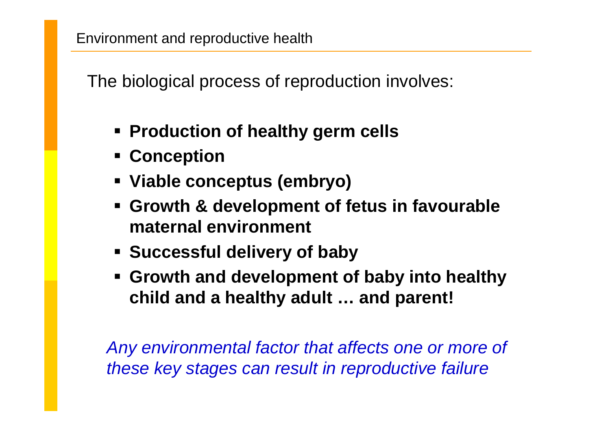The biological process of reproduction involves:

- **Production of healthy germ cells**
- **Conception**
- **Viable conceptus (embryo)**
- **Growth & development of fetus in favourable maternal environment**
- **Successful delivery of baby**
- **Growth and development of baby into healthy child and a healthy adult … and parent!**

*Any environmental factor that affects one or more of these key stages can result in reproductive failure*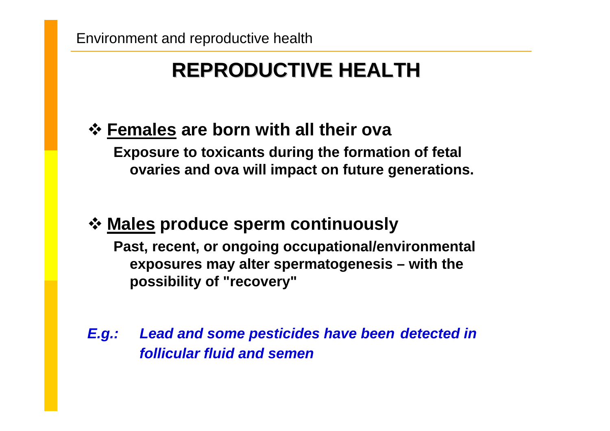## **REPRODUCTIVE HEALTH REPRODUCTIVE HEALTH**

## **Females are born with all their ova**

**Exposure to toxicants during the formation of fetal ovaries and ova will impact on future generations.**

### **Males produce sperm continuously**

**Past, recent, or ongoing occupational/environmental exposures may alter spermatogenesis – with the possibility of "recovery"**

*E.g.: Lead and some pesticides have been detected in follicular fluid and semen*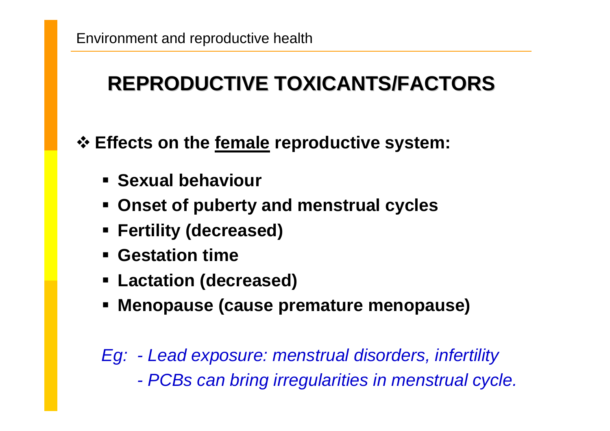## **REPRODUCTIVE TOXICANTS/FACTORS REPRODUCTIVE TOXICANTS/FACTORS**

**Effects on the female reproductive system:**

- **Sexual behaviour**
- **Onset of puberty and menstrual cycles**
- **Fertility (decreased)**
- **Gestation time**
- **Lactation (decreased)**
- **Menopause (cause premature menopause)**

*Eg: - Lead exposure: menstrual disorders, infertility - PCBs can bring irregularities in menstrual cycle.*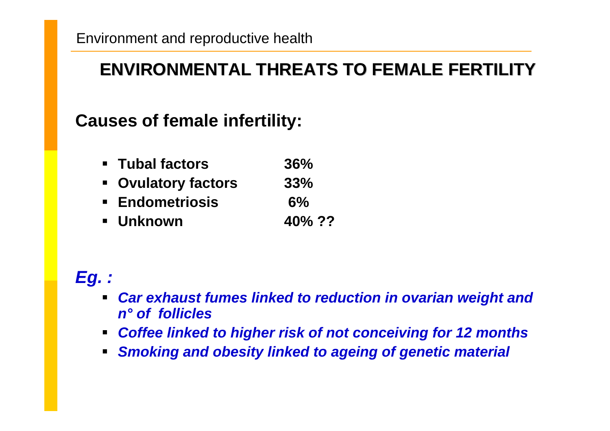### **ENVIRONMENTAL THREATS TO FEMALE FERTILITY ENVIRONMENTAL THREATS TO FEMALE FERTILITY**

### **Causes of female infertility:**

- **Tubal factors36%**
- **Ovulatory factors 33%**
- **Endometriosis6%**
- **Unknown 40% ??**

### *Eg. :*

- $\blacksquare$  *Car exhaust fumes linked to reduction in ovarian weight and n° of follicles*
- $\blacksquare$ *Coffee linked to higher risk of not conceiving for 12 months*
- $\blacksquare$ *Smoking and obesity linked to ageing of genetic material*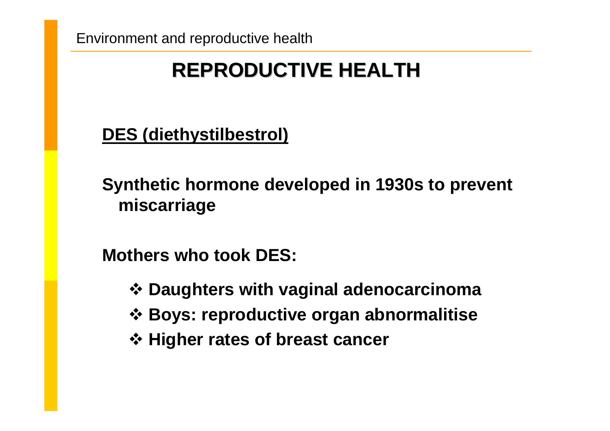## **REPRODUCTIVE HEALTH REPRODUCTIVE HEALTH**

**DES (diethystilbestrol)**

**Synthetic hormone developed in 1930s to prevent miscarriage** 

**Mothers who took DES:**

- **Daughters with vaginal adenocarcinoma**
- **Boys: reproductive organ abnormalitise**
- **Higher rates of breast cancer**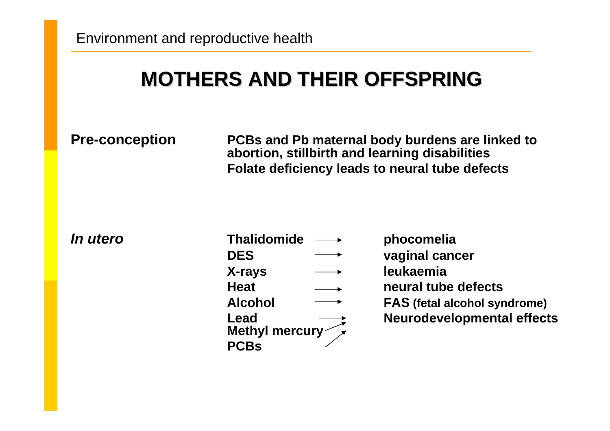## **MOTHERS AND THEIR OFFSPRING MOTHERS AND THEIR OFFSPRING**

**Pre-conception PCBs and Pb maternal body burdens are linked to abortion, stillbirth and learning disabilities Folate deficiency leads to neural tube defects**

*In utero*

| Ό | <b>Thalidomide</b>            | phocomelia                          |
|---|-------------------------------|-------------------------------------|
|   | <b>DES</b>                    | vaginal cancer                      |
|   | X-rays                        | leukaemia                           |
|   | <b>Heat</b>                   | neural tube defects                 |
|   | <b>Alcohol</b>                | <b>FAS</b> (fetal alcohol syndrome) |
|   | Lead<br>Methyl mercury $\sim$ | <b>Neurodevelopmental effects</b>   |
|   | <b>PCBs</b>                   |                                     |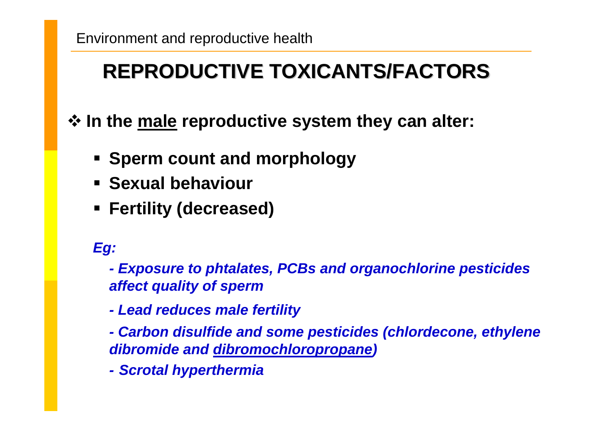## **REPRODUCTIVE TOXICANTS/FACTORS REPRODUCTIVE TOXICANTS/FACTORS**

**In the male reproductive system they can alter:**

- **Sperm count and morphology**
- **Sexual behaviour**
- **Fertility (decreased)**

*Eg:*

*- Exposure to phtalates, PCBs and organochlorine pesticides affect quality of sperm*

- *- Lead reduces male fertility*
- *- Carbon disulfide and some pesticides (chlordecone, ethylene dibromide and dibromochloropropane)*
- *- Scrotal hyperthermia*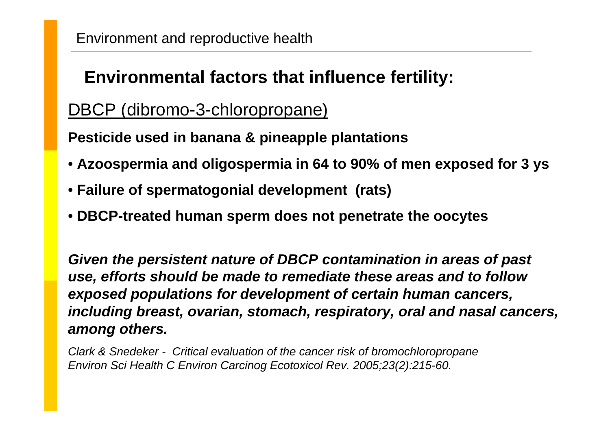## **Environmental factors that influence fertility:**

### DBCP (dibromo-3-chloropropane)

**Pesticide used in banana & pineapple pla ntations**

- **Azoospermia and oligospermia in 64 to 90% of men exposed for 3 ys**
- **Failure of spermatogonial development (rats)**
- **DBCP-treated human sperm does not penetrate the oocytes**

*Given the persistent nature of DBCP contamination in areas of past use, efforts should be made to remediate these areas and to follow exposed populations for development of c erta in human cancers, including breast, ovarian, stomach, respiratory, oral and nasal cancers, among others.*

*Clark & Snedeker - Critical evaluation of the cancer risk of bromochloropropane Environ Sci Health C Environ Carcinog Ecotoxicol Rev. 2005;23(2):215-60.*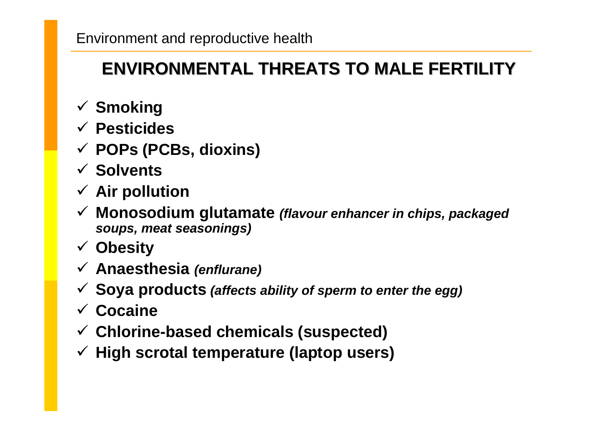## **ENVIRONMENTAL THREATS TO MALE FERTILITY ENVIRONMENTAL THREATS TO MALE FERTILITY**

- 9 **Smoking**
- 9 **Pesticides**
- 9 **POPs (PCBs, dioxins)**
- 9 **Solvents**
- 9 **Air pollution**
- 9 **Monosodium glutamate** *(flavour enhancer in chips, packaged soups, meat seasonings)*
- 9 **Obesity**
- 9 **Anaesthesia** *(enflurane)*
- 9 **Soya products** *(affects ability of sperm to enter the egg)*
- 9 **Cocaine**
- 9 **Chlorine-based chemicals (suspected)**
- 9 **High scrotal temperature (laptop users)**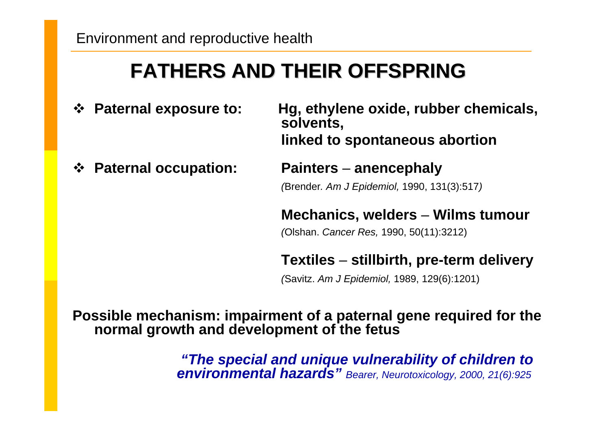## **FATHERS AND THEIR OFFSPRING FATHERS AND THEIR OFFSPRING**

**Paternal exposure to: Hg, e**

**Paternal occupation: Painters** 

**thylene oxide, rubber chemicals, solvents, linked to spontaneous abortion**

#### –**anencephaly**

*(*Brender*. Am J Epidemiol,* 1990, 131(3):517 *)*

**Mechanics, welders** – **Wilms tumour**

*(*Olshan. *Cancer R es,* 1990, 50(11):3212)

**Textiles**  –**stillbirth, pre-term delivery**

*(*Savitz. *Am J Epidemiol,* 1989, 129(6):1201)

**Possible mechanism: impairment of a paternal gene required for the normal growth and development of the fetus** 

> *"The special and unique vulnerability of children to environmental hazards" Bearer, Neurotoxicology, 2000, 21(6):925*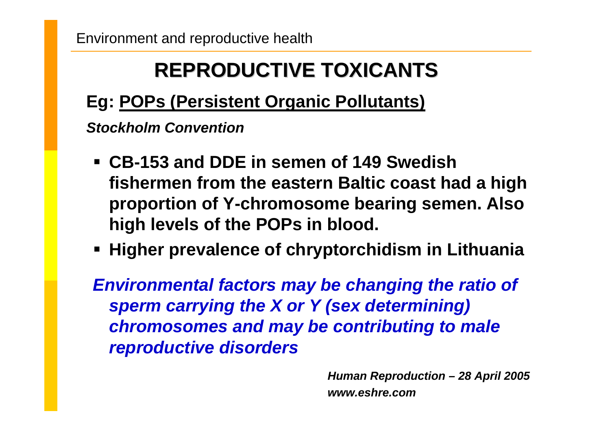## **REPRODUCTIVE TOXICANTS REPRODUCTIVE TOXICANTS**

## **Eg: POPs (Persistent Organic Pollutants)**

*Stockholm Convention* 

- **CB-153 and DDE in semen of 149 Swedish fishermen from the eastern Baltic coast had a high proportion of Y-chromosome bearing semen. Also high levels of the POPs in blood.**
- **Higher prevalence of chryptorchidism in Lithuania**

*Environmental factors may be changing the ratio of sperm carrying the X or Y (sex determining) chromosomes and may be contributing to male reproductive disorders*

> *Human Reproduction – 28 April 2005 www.eshre.com*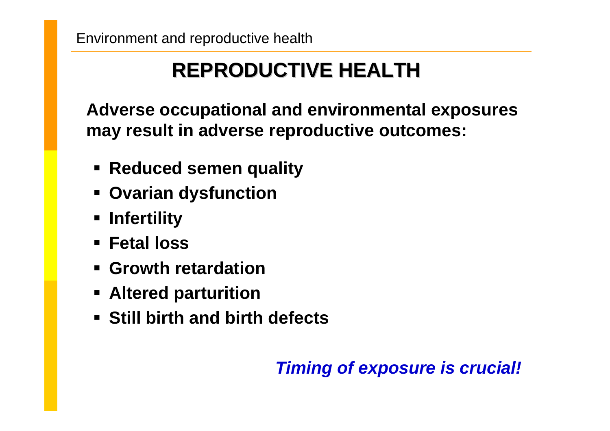## **REPRODUCTIVE HEALTH REPRODUCTIVE HEALTH**

**Adverse occupational and environmental exposures may result in adverse reproductive outcomes:**

- **Reduced semen quality**
- **Ovarian dysfunction**
- **Infertility**
- **Fetal loss**
- **Growth retardation**
- **Altered parturition**
- **Still birth and birth defects**

## *Timing of exposure is crucial!*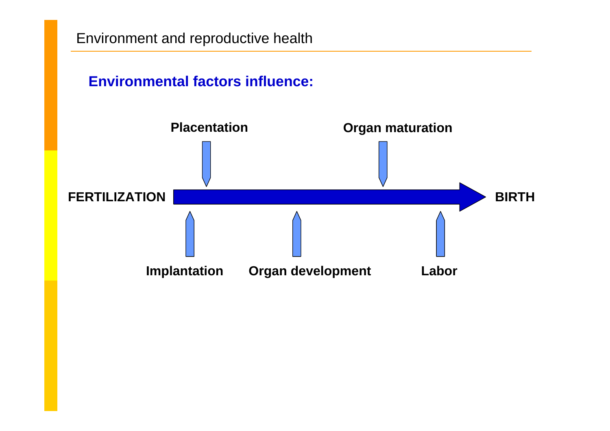### **Environmental factors influence:**

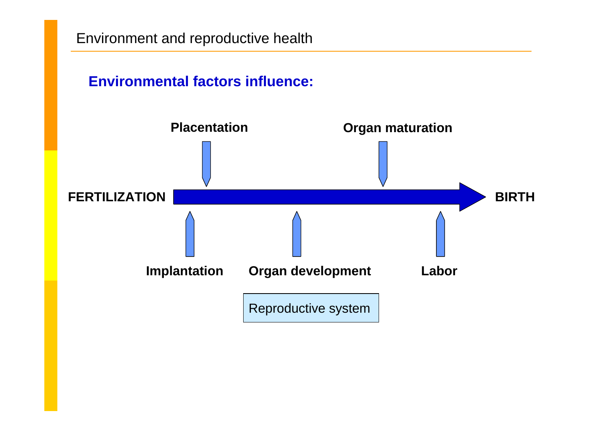### **Environmental factors influence:**

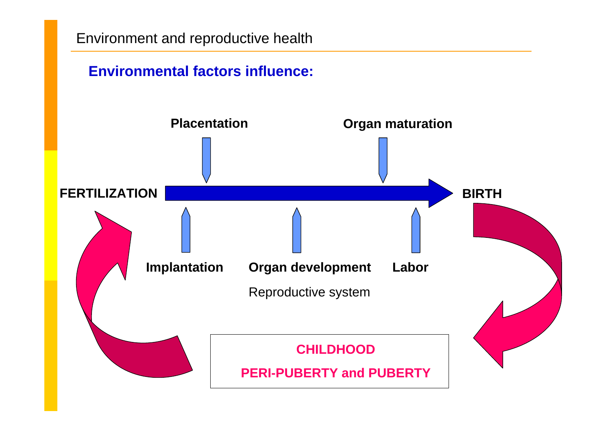

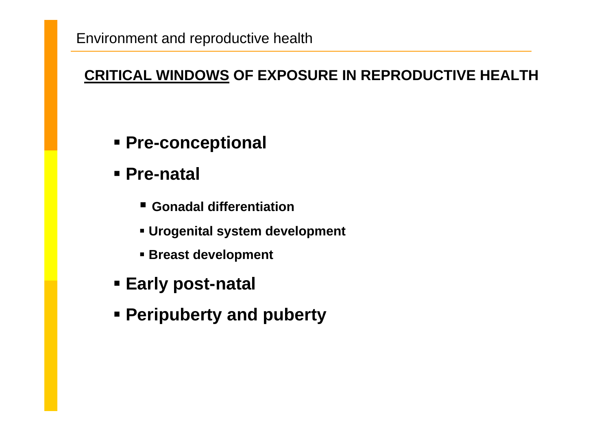### **CRITICAL WINDOWS OF EXPOSURE IN REPRODUCTIVE HEALTH**

- **Pre-conceptional**
- **Pre-natal**
	- **Gonadal differentiation**
	- **Urogenital system development**
	- **Breast development**
- **Early post-natal**
- **Peripuberty and puberty**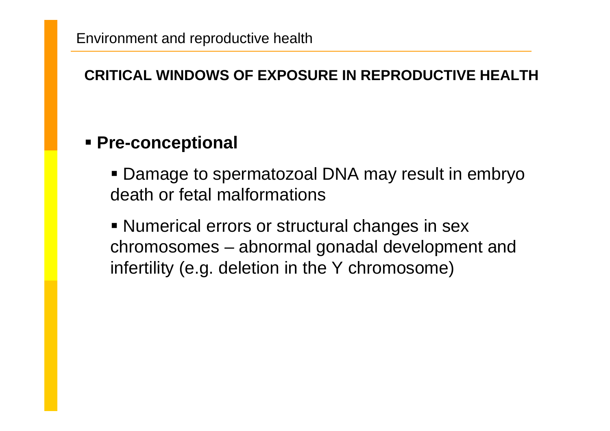### **CRITICAL WINDOWS OF EXPOSURE IN REPRODUCTIVE HEALTH**

### **Pre-conceptional**

 Damage to spermatozoal DNA may result in embryo death or fetal malformations

**Numerical errors or structural changes in sex** chromosomes – abnormal gonadal development and infertility (e.g. deletion in the Y chromosome)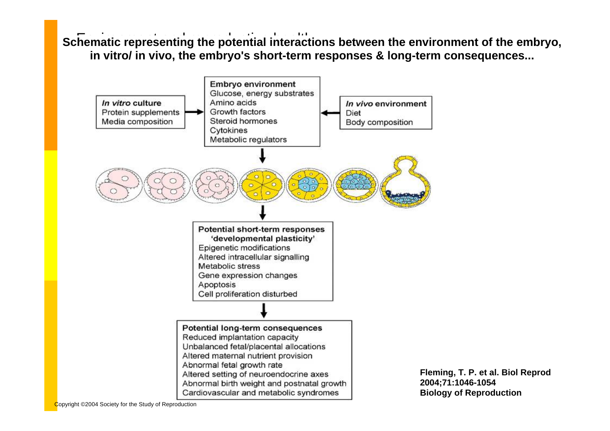**Schematic representing the potential interactions between the environment of the embryo, in vitro/ in vivo, the embryo's short-term responses & long-term consequences...**



**Fleming, T. P. et al. Biol Reprod 2004;71:1046-1054 Biology of Reproduction**

Copyright ©2004 Society for the Study of Reproduction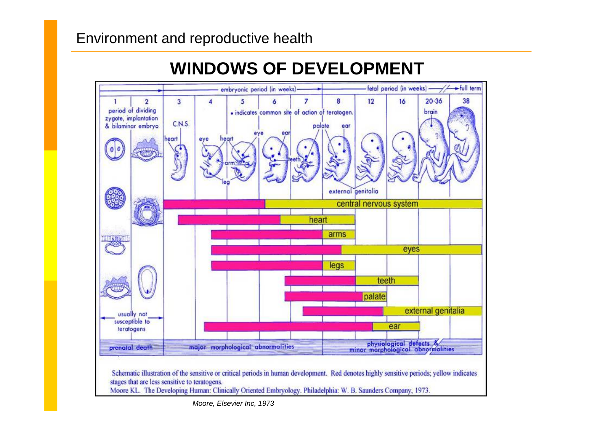

#### *Moore, Elsevier Inc, 19 73*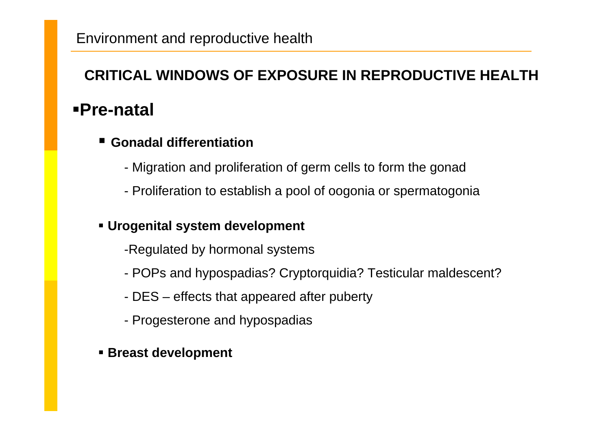### **CRITICAL WINDOWS OF EXPOSURE IN REPRODUCTIVE HEALTH**

### **Pre-natal**

#### ٠ ■ Gonadal differentiation

- Migration and proliferation of germ cells to form the gonad
- Proliferation to establish a pool of oogonia or spermatogonia

### **Urogenital system development**

- -Regulated by hormonal systems
- POPs and hypospadias? Cryptorquidia? Testicular maldescent?
- DES effects that appeared after puberty
- Progesterone and hypospadias
- **Breast development**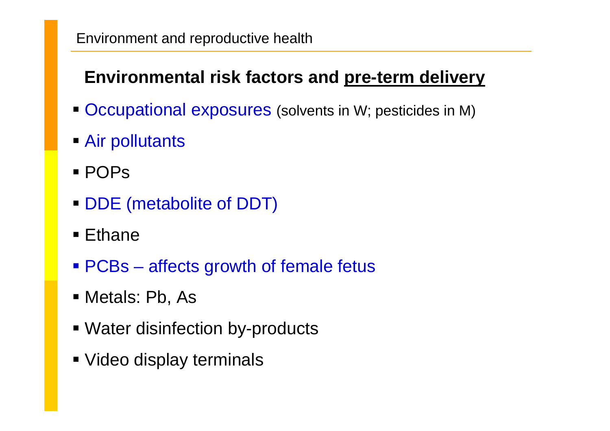## **Environmental risk factors and pre-term delivery**

- Occupational exposures (solvents in W; pesticides in M)
- Air pollutants
- POPs
- DDE (metabolite of DDT)
- Ethane
- PCBs affects growth of female fetus
- Metals: Pb, As
- **Water disinfection by-products**
- Video display terminals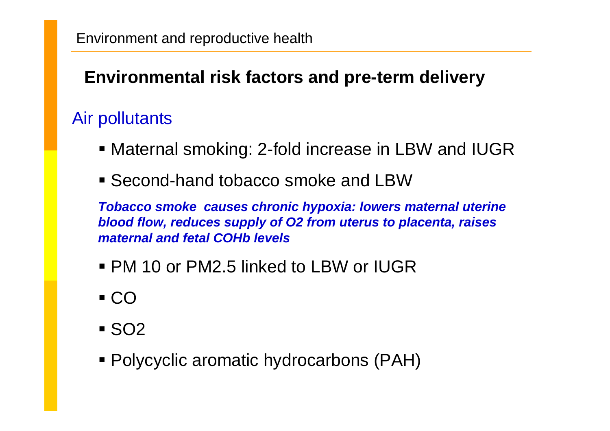## **Environmental risk factors and pre-term delivery**

## Air pollutants

- Maternal smoking: 2-fold increase in LBW and IUGR
- Second-hand tobacco smoke and LBW

*Tobacco smoke causes chronic hypoxia: lowers maternal uterine blood flow, reduces supply of O2 from uterus to placenta, raises maternal and fetal COHb levels*

- PM 10 or PM2.5 linked to LBW or IUGR
- $\blacksquare$  CO
- SO2
- Polycyclic aromatic hydrocarbons (PAH)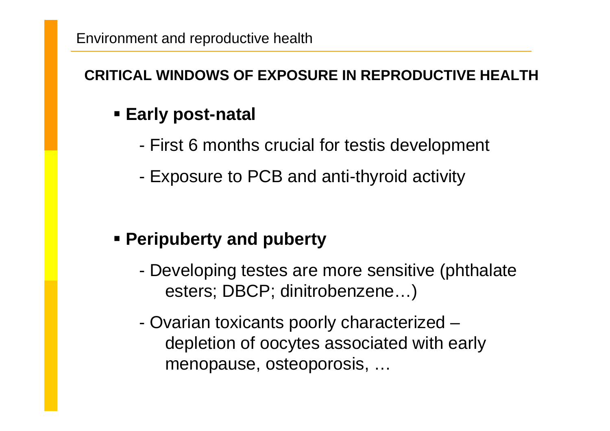### **CRITICAL WINDOWS OF EXPOSURE IN REPRODUCTIVE HEALTH**

## **Early post-natal**

- First 6 months crucial for testis development
- Exposure to PCB and anti-thyroid activity

### **Peripuberty and puberty**

- Developing testes are more sensitive (phthalate esters; DBCP; dinitrobenzene…)
- Ovarian toxicants poorly characterized depletion of oocytes associated with early menopause, osteoporosis, …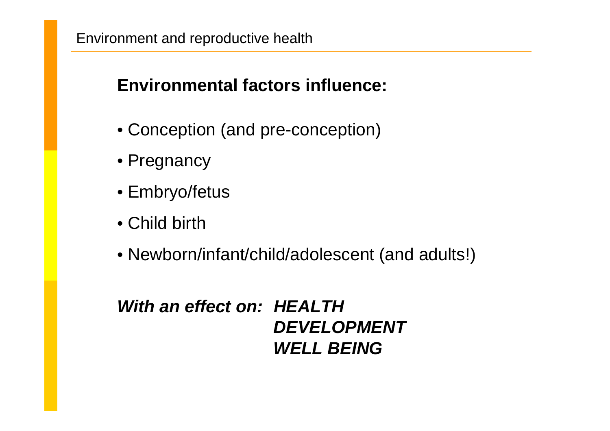### **Environmental factors influence:**

- Conception (and pre-conception)
- Pregnancy
- Embryo/fetus
- Child birth
- Newborn/infant/child/adolescent (and adults!)

### *With an effect on: HEALTHDEVELOPMENTWELL BEING*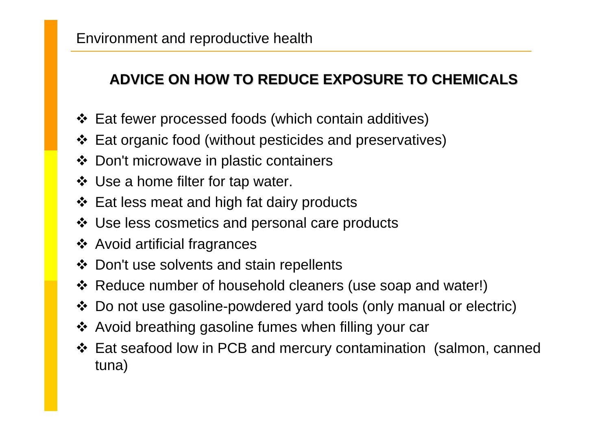### **ADVICE ON HOW TO REDUCE EXPOSURE TO CHEMICALS ADVICE ON HOW TO REDUCE EXPOSURE TO CHEMICALS**

- Eat fewer processed foods (which contain additives)
- Eat organic food (without pesticides and preservatives)
- Don't microwave in plastic containers
- ❖ Use a home filter for tap water.
- ❖ Eat less meat and high fat dairy products
- Use less cosmetics and personal care products
- Avoid artificial fragrances
- Don't use solvents and stain repellents
- Reduce number of household cleaners (use soap and water!)
- Do not use gasoline-powdered yard tools (only manual or electric)
- ❖ Avoid breathing gasoline fumes when filling your car
- Eat seafood low in PCB and mercury contamination (salmon, canned tuna)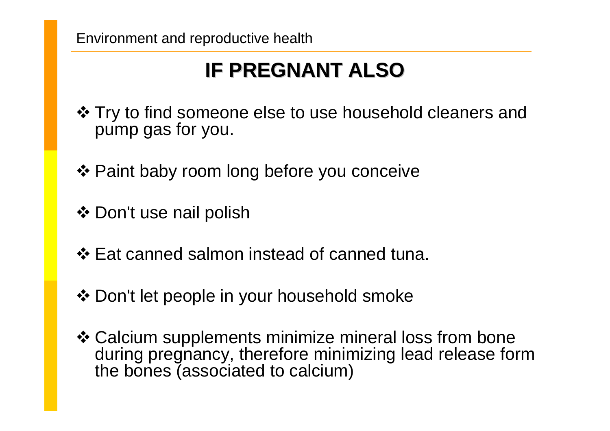## **IF PREGNANT ALSO IF PREGNANT ALSO**

- ❖ Try to find someone else to use household cleaners and pump gas for you.
- ❖ Paint baby room long before you conceive
- ❖ Don't use nail polish
- ❖ Eat canned salmon instead of canned tuna.
- ❖ Don't let people in your household smoke
- Calcium supplements minimize mineral loss from bone during pregnancy, therefore minimizing lead release form the bones (associated to calcium)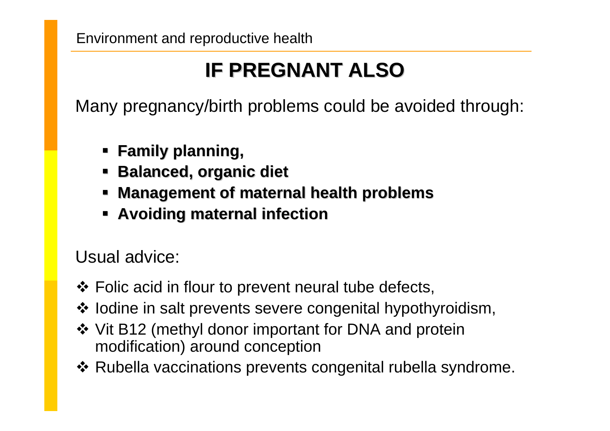## **IF PREGNANT ALSO IF PREGNANT ALSO**

Many pregnancy/birth problems could be avoided through:

- **Family planning, Family planning,**
- **Balanced, organic diet**
- **Kanagement of maternal health problems**
- **Avoiding maternal infection**

Usual advice:

- ❖ Folic acid in flour to prevent neural tube defects,
- ❖ lodine in salt prevents severe congenital hypothyroidism,
- ❖ Vit B12 (methyl donor important for DNA and protein modification) around conception
- ❖ Rubella vaccinations prevents congenital rubella syndrome.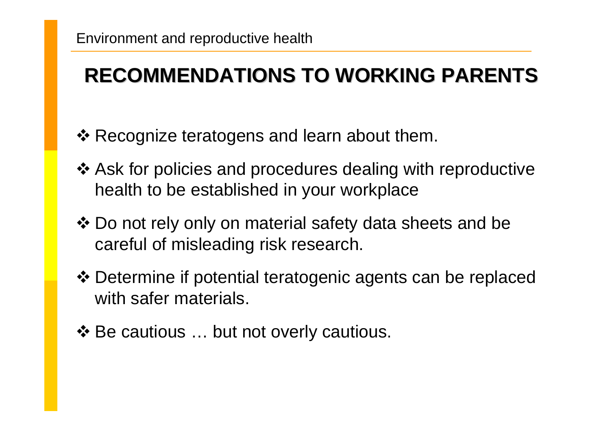## **RECOMMENDATIONS TO WORKING PARENTS RECOMMENDATIONS TO WORKING PARENTS**

- ❖ Recognize teratogens and learn about them.
- Ask for policies and procedures dealing with reproductive health to be established in your workplace
- Do not rely only on material safety data sheets and be careful of misleading risk research.
- Determine if potential teratogenic agents can be replaced with safer materials.
- ❖ Be cautious ... but not overly cautious.